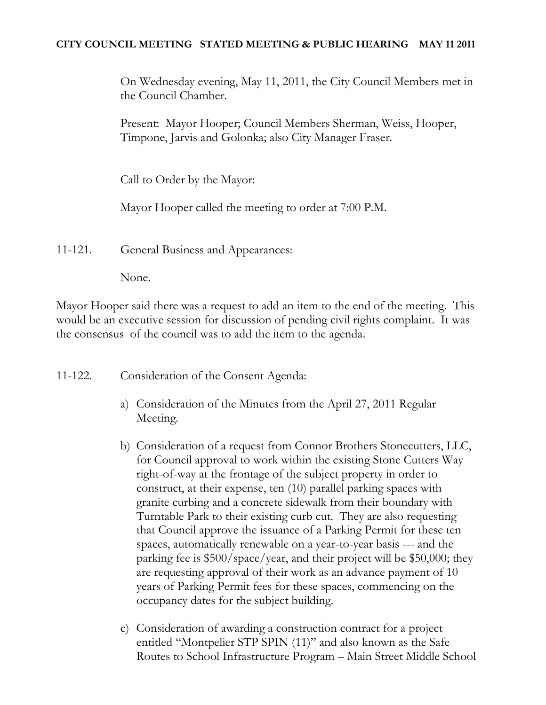# **CITY COUNCIL MEETING STATED MEETING & PUBLIC HEARING MAY 11 2011**

On Wednesday evening, May 11, 2011, the City Council Members met in the Council Chamber.

Present: Mayor Hooper; Council Members Sherman, Weiss, Hooper, Timpone, Jarvis and Golonka; also City Manager Fraser.

Call to Order by the Mayor:

Mayor Hooper called the meeting to order at 7:00 P.M.

11-121. General Business and Appearances:

None.

Mayor Hooper said there was a request to add an item to the end of the meeting. This would be an executive session for discussion of pending civil rights complaint. It was the consensus of the council was to add the item to the agenda.

11-122. Consideration of the Consent Agenda:

- a) Consideration of the Minutes from the April 27, 2011 Regular Meeting.
- b) Consideration of a request from Connor Brothers Stonecutters, LLC, for Council approval to work within the existing Stone Cutters Way right-of-way at the frontage of the subject property in order to construct, at their expense, ten (10) parallel parking spaces with granite curbing and a concrete sidewalk from their boundary with Turntable Park to their existing curb cut. They are also requesting that Council approve the issuance of a Parking Permit for these ten spaces, automatically renewable on a year-to-year basis --- and the parking fee is \$500/space/year, and their project will be \$50,000; they are requesting approval of their work as an advance payment of 10 years of Parking Permit fees for these spaces, commencing on the occupancy dates for the subject building.
- c) Consideration of awarding a construction contract for a project entitled "Montpelier STP SPIN (11)" and also known as the Safe Routes to School Infrastructure Program – Main Street Middle School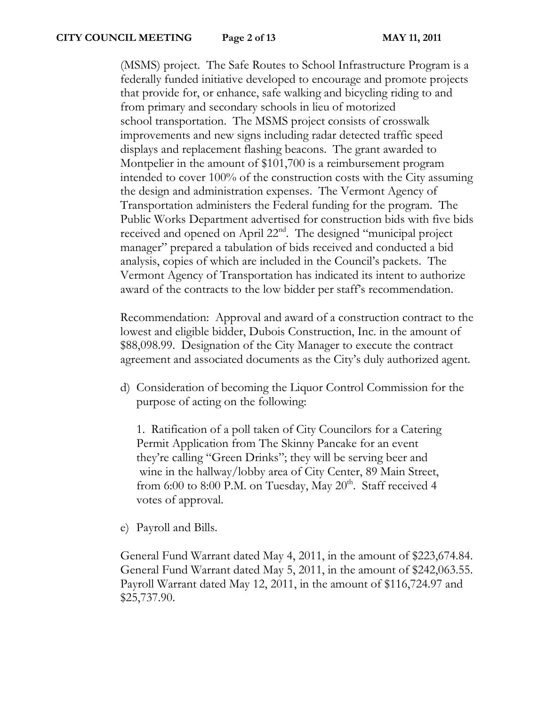(MSMS) project. The Safe Routes to School Infrastructure Program is a federally funded initiative developed to encourage and promote projects that provide for, or enhance, safe walking and bicycling riding to and from primary and secondary schools in lieu of motorized school transportation. The MSMS project consists of crosswalk improvements and new signs including radar detected traffic speed displays and replacement flashing beacons. The grant awarded to Montpelier in the amount of \$101,700 is a reimbursement program intended to cover 100% of the construction costs with the City assuming the design and administration expenses. The Vermont Agency of Transportation administers the Federal funding for the program. The Public Works Department advertised for construction bids with five bids received and opened on April 22<sup>nd</sup>. The designed "municipal project manager" prepared a tabulation of bids received and conducted a bid analysis, copies of which are included in the Council's packets. The Vermont Agency of Transportation has indicated its intent to authorize award of the contracts to the low bidder per staff's recommendation.

Recommendation: Approval and award of a construction contract to the lowest and eligible bidder, Dubois Construction, Inc. in the amount of \$88,098.99. Designation of the City Manager to execute the contract agreement and associated documents as the City's duly authorized agent.

d) Consideration of becoming the Liquor Control Commission for the purpose of acting on the following:

1. Ratification of a poll taken of City Councilors for a Catering Permit Application from The Skinny Pancake for an event they're calling "Green Drinks"; they will be serving beer and wine in the hallway/lobby area of City Center, 89 Main Street, from 6:00 to 8:00 P.M. on Tuesday, May  $20<sup>th</sup>$ . Staff received 4 votes of approval.

e) Payroll and Bills.

General Fund Warrant dated May 4, 2011, in the amount of \$223,674.84. General Fund Warrant dated May 5, 2011, in the amount of \$242,063.55. Payroll Warrant dated May 12, 2011, in the amount of \$116,724.97 and \$25,737.90.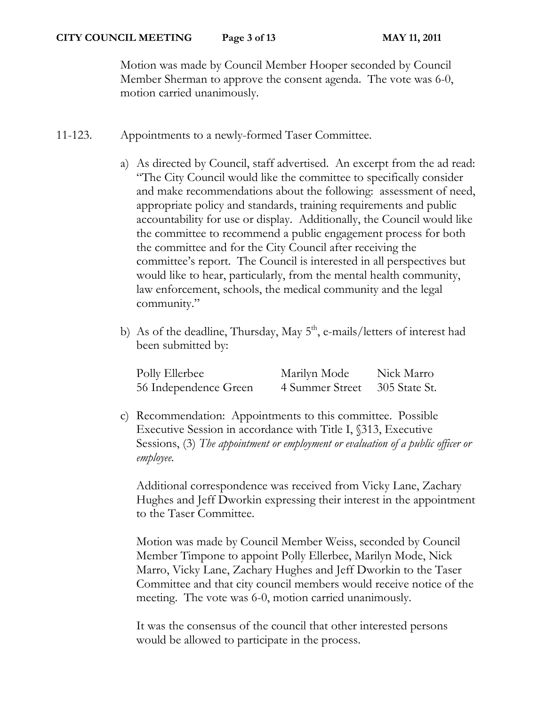Motion was made by Council Member Hooper seconded by Council Member Sherman to approve the consent agenda. The vote was 6-0, motion carried unanimously.

- 11-123. Appointments to a newly-formed Taser Committee.
	- a) As directed by Council, staff advertised. An excerpt from the ad read: "The City Council would like the committee to specifically consider and make recommendations about the following: assessment of need, appropriate policy and standards, training requirements and public accountability for use or display. Additionally, the Council would like the committee to recommend a public engagement process for both the committee and for the City Council after receiving the committee's report. The Council is interested in all perspectives but would like to hear, particularly, from the mental health community, law enforcement, schools, the medical community and the legal community."
	- b) As of the deadline, Thursday, May  $5<sup>th</sup>$ , e-mails/letters of interest had been submitted by:

| Polly Ellerbee        | Marilyn Mode    | Nick Marro    |
|-----------------------|-----------------|---------------|
| 56 Independence Green | 4 Summer Street | 305 State St. |

c) Recommendation: Appointments to this committee. Possible Executive Session in accordance with Title I, §313, Executive Sessions, (3) *The appointment or employment or evaluation of a public officer or employee.*

Additional correspondence was received from Vicky Lane, Zachary Hughes and Jeff Dworkin expressing their interest in the appointment to the Taser Committee.

Motion was made by Council Member Weiss, seconded by Council Member Timpone to appoint Polly Ellerbee, Marilyn Mode, Nick Marro, Vicky Lane, Zachary Hughes and Jeff Dworkin to the Taser Committee and that city council members would receive notice of the meeting. The vote was 6-0, motion carried unanimously.

It was the consensus of the council that other interested persons would be allowed to participate in the process.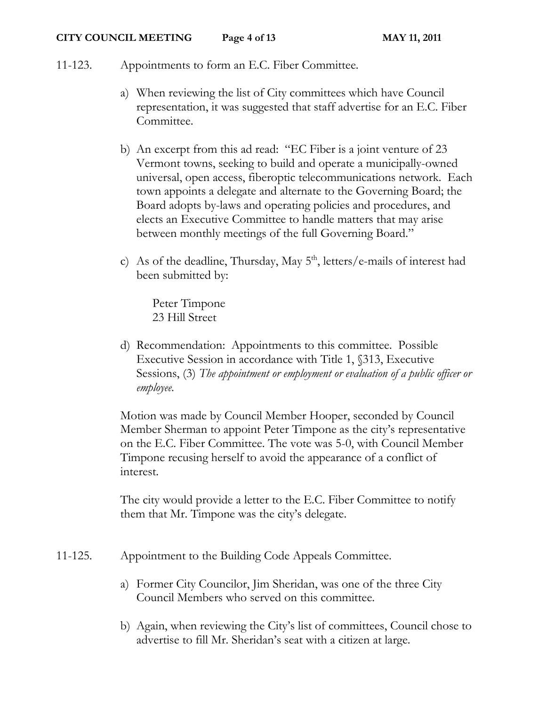# 11-123. Appointments to form an E.C. Fiber Committee.

- a) When reviewing the list of City committees which have Council representation, it was suggested that staff advertise for an E.C. Fiber Committee.
- b) An excerpt from this ad read: "EC Fiber is a joint venture of 23 Vermont towns, seeking to build and operate a municipally-owned universal, open access, fiberoptic telecommunications network. Each town appoints a delegate and alternate to the Governing Board; the Board adopts by-laws and operating policies and procedures, and elects an Executive Committee to handle matters that may arise between monthly meetings of the full Governing Board."
- c) As of the deadline, Thursday, May  $5<sup>th</sup>$ , letters/e-mails of interest had been submitted by:

Peter Timpone 23 Hill Street

d) Recommendation: Appointments to this committee. Possible Executive Session in accordance with Title 1, §313, Executive Sessions, (3) *The appointment or employment or evaluation of a public officer or employee.*

Motion was made by Council Member Hooper, seconded by Council Member Sherman to appoint Peter Timpone as the city's representative on the E.C. Fiber Committee. The vote was 5-0, with Council Member Timpone recusing herself to avoid the appearance of a conflict of interest.

The city would provide a letter to the E.C. Fiber Committee to notify them that Mr. Timpone was the city's delegate.

- 11-125. Appointment to the Building Code Appeals Committee.
	- a) Former City Councilor, Jim Sheridan, was one of the three City Council Members who served on this committee.
	- b) Again, when reviewing the City's list of committees, Council chose to advertise to fill Mr. Sheridan's seat with a citizen at large.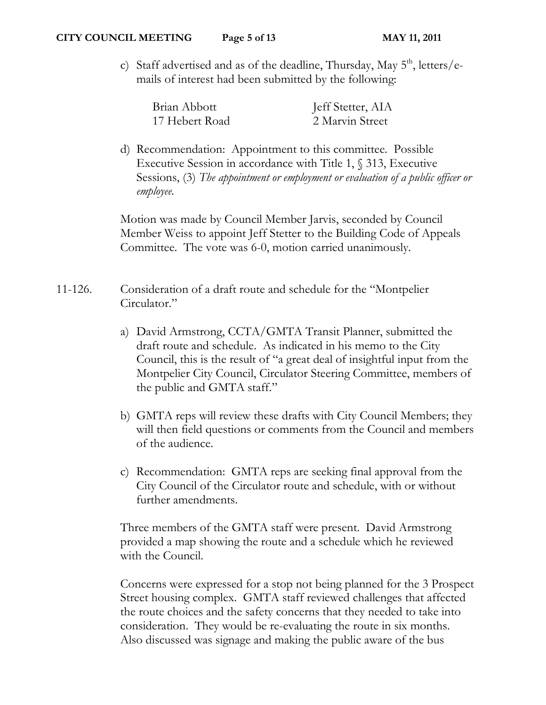c) Staff advertised and as of the deadline, Thursday, May  $5<sup>th</sup>$ , letters/emails of interest had been submitted by the following:

| Brian Abbott   | Jeff Stetter, AIA |
|----------------|-------------------|
| 17 Hebert Road | 2 Marvin Street   |

d) Recommendation: Appointment to this committee. Possible Executive Session in accordance with Title 1, § 313, Executive Sessions, (3) *The appointment or employment or evaluation of a public officer or employee.*

Motion was made by Council Member Jarvis, seconded by Council Member Weiss to appoint Jeff Stetter to the Building Code of Appeals Committee. The vote was 6-0, motion carried unanimously.

11-126. Consideration of a draft route and schedule for the "Montpelier Circulator."

- a) David Armstrong, CCTA/GMTA Transit Planner, submitted the draft route and schedule. As indicated in his memo to the City Council, this is the result of "a great deal of insightful input from the Montpelier City Council, Circulator Steering Committee, members of the public and GMTA staff."
- b) GMTA reps will review these drafts with City Council Members; they will then field questions or comments from the Council and members of the audience.
- c) Recommendation: GMTA reps are seeking final approval from the City Council of the Circulator route and schedule, with or without further amendments.

Three members of the GMTA staff were present. David Armstrong provided a map showing the route and a schedule which he reviewed with the Council.

Concerns were expressed for a stop not being planned for the 3 Prospect Street housing complex. GMTA staff reviewed challenges that affected the route choices and the safety concerns that they needed to take into consideration. They would be re-evaluating the route in six months. Also discussed was signage and making the public aware of the bus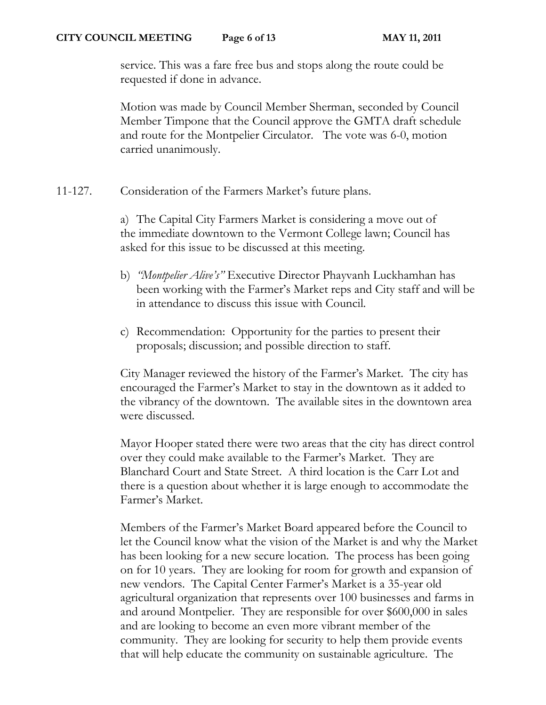service. This was a fare free bus and stops along the route could be requested if done in advance.

Motion was made by Council Member Sherman, seconded by Council Member Timpone that the Council approve the GMTA draft schedule and route for the Montpelier Circulator. The vote was 6-0, motion carried unanimously.

11-127. Consideration of the Farmers Market's future plans.

a) The Capital City Farmers Market is considering a move out of the immediate downtown to the Vermont College lawn; Council has asked for this issue to be discussed at this meeting.

- b) *"Montpelier Alive's"* Executive Director Phayvanh Luckhamhan has been working with the Farmer's Market reps and City staff and will be in attendance to discuss this issue with Council.
- c) Recommendation: Opportunity for the parties to present their proposals; discussion; and possible direction to staff.

City Manager reviewed the history of the Farmer's Market. The city has encouraged the Farmer's Market to stay in the downtown as it added to the vibrancy of the downtown. The available sites in the downtown area were discussed.

Mayor Hooper stated there were two areas that the city has direct control over they could make available to the Farmer's Market. They are Blanchard Court and State Street. A third location is the Carr Lot and there is a question about whether it is large enough to accommodate the Farmer's Market.

Members of the Farmer's Market Board appeared before the Council to let the Council know what the vision of the Market is and why the Market has been looking for a new secure location. The process has been going on for 10 years. They are looking for room for growth and expansion of new vendors. The Capital Center Farmer's Market is a 35-year old agricultural organization that represents over 100 businesses and farms in and around Montpelier. They are responsible for over \$600,000 in sales and are looking to become an even more vibrant member of the community. They are looking for security to help them provide events that will help educate the community on sustainable agriculture. The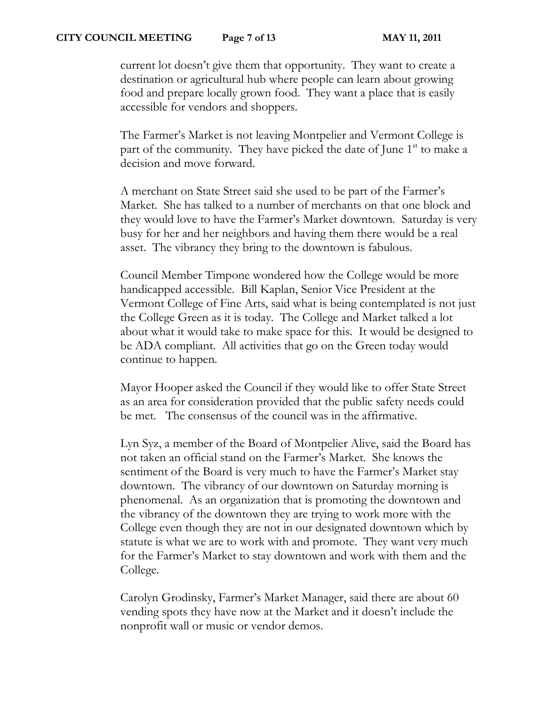current lot doesn't give them that opportunity. They want to create a destination or agricultural hub where people can learn about growing food and prepare locally grown food. They want a place that is easily accessible for vendors and shoppers.

The Farmer's Market is not leaving Montpelier and Vermont College is part of the community. They have picked the date of June  $1<sup>st</sup>$  to make a decision and move forward.

A merchant on State Street said she used to be part of the Farmer's Market. She has talked to a number of merchants on that one block and they would love to have the Farmer's Market downtown. Saturday is very busy for her and her neighbors and having them there would be a real asset. The vibrancy they bring to the downtown is fabulous.

Council Member Timpone wondered how the College would be more handicapped accessible. Bill Kaplan, Senior Vice President at the Vermont College of Fine Arts, said what is being contemplated is not just the College Green as it is today. The College and Market talked a lot about what it would take to make space for this. It would be designed to be ADA compliant. All activities that go on the Green today would continue to happen.

Mayor Hooper asked the Council if they would like to offer State Street as an area for consideration provided that the public safety needs could be met. The consensus of the council was in the affirmative.

Lyn Syz, a member of the Board of Montpelier Alive, said the Board has not taken an official stand on the Farmer's Market. She knows the sentiment of the Board is very much to have the Farmer's Market stay downtown. The vibrancy of our downtown on Saturday morning is phenomenal. As an organization that is promoting the downtown and the vibrancy of the downtown they are trying to work more with the College even though they are not in our designated downtown which by statute is what we are to work with and promote. They want very much for the Farmer's Market to stay downtown and work with them and the College.

Carolyn Grodinsky, Farmer's Market Manager, said there are about 60 vending spots they have now at the Market and it doesn't include the nonprofit wall or music or vendor demos.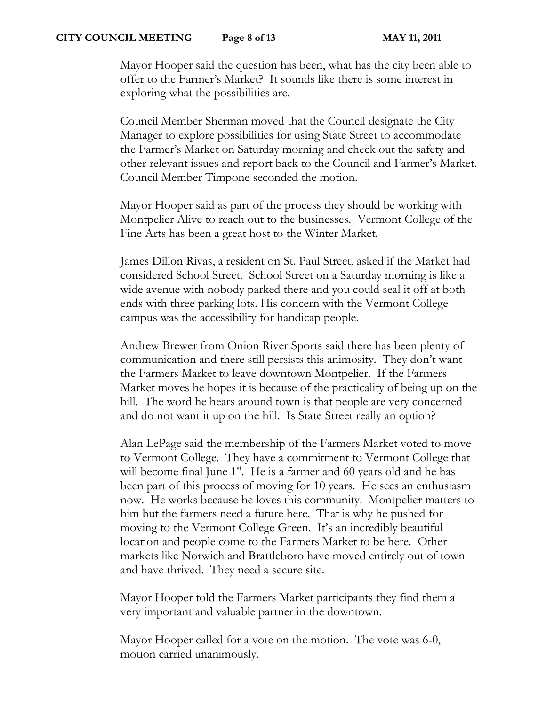#### **CITY COUNCIL MEETING Page 8 of 13 MAY 11, 2011**

Mayor Hooper said the question has been, what has the city been able to offer to the Farmer's Market? It sounds like there is some interest in exploring what the possibilities are.

Council Member Sherman moved that the Council designate the City Manager to explore possibilities for using State Street to accommodate the Farmer's Market on Saturday morning and check out the safety and other relevant issues and report back to the Council and Farmer's Market. Council Member Timpone seconded the motion.

Mayor Hooper said as part of the process they should be working with Montpelier Alive to reach out to the businesses. Vermont College of the Fine Arts has been a great host to the Winter Market.

James Dillon Rivas, a resident on St. Paul Street, asked if the Market had considered School Street. School Street on a Saturday morning is like a wide avenue with nobody parked there and you could seal it off at both ends with three parking lots. His concern with the Vermont College campus was the accessibility for handicap people.

Andrew Brewer from Onion River Sports said there has been plenty of communication and there still persists this animosity. They don't want the Farmers Market to leave downtown Montpelier. If the Farmers Market moves he hopes it is because of the practicality of being up on the hill. The word he hears around town is that people are very concerned and do not want it up on the hill. Is State Street really an option?

Alan LePage said the membership of the Farmers Market voted to move to Vermont College. They have a commitment to Vermont College that will become final June  $1^{st}$ . He is a farmer and 60 years old and he has been part of this process of moving for 10 years. He sees an enthusiasm now. He works because he loves this community. Montpelier matters to him but the farmers need a future here. That is why he pushed for moving to the Vermont College Green. It's an incredibly beautiful location and people come to the Farmers Market to be here. Other markets like Norwich and Brattleboro have moved entirely out of town and have thrived. They need a secure site.

Mayor Hooper told the Farmers Market participants they find them a very important and valuable partner in the downtown.

Mayor Hooper called for a vote on the motion. The vote was 6-0, motion carried unanimously.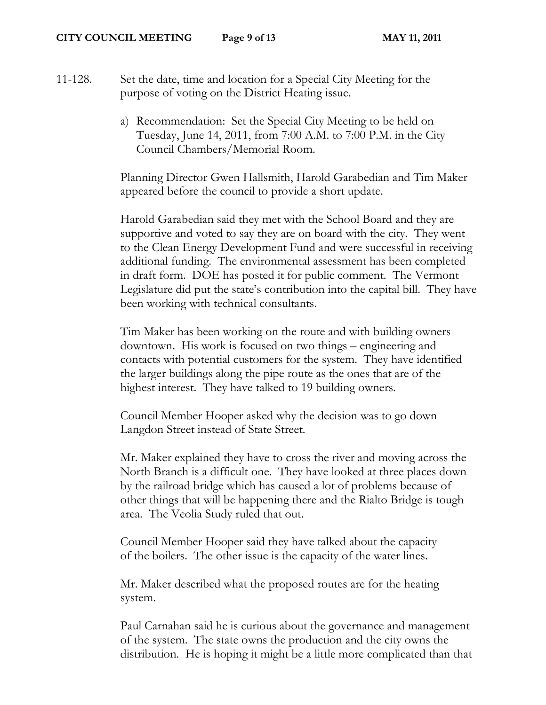11-128. Set the date, time and location for a Special City Meeting for the purpose of voting on the District Heating issue.

> a) Recommendation: Set the Special City Meeting to be held on Tuesday, June 14, 2011, from 7:00 A.M. to 7:00 P.M. in the City Council Chambers/Memorial Room.

Planning Director Gwen Hallsmith, Harold Garabedian and Tim Maker appeared before the council to provide a short update.

Harold Garabedian said they met with the School Board and they are supportive and voted to say they are on board with the city. They went to the Clean Energy Development Fund and were successful in receiving additional funding. The environmental assessment has been completed in draft form. DOE has posted it for public comment. The Vermont Legislature did put the state's contribution into the capital bill. They have been working with technical consultants.

Tim Maker has been working on the route and with building owners downtown. His work is focused on two things – engineering and contacts with potential customers for the system. They have identified the larger buildings along the pipe route as the ones that are of the highest interest. They have talked to 19 building owners.

Council Member Hooper asked why the decision was to go down Langdon Street instead of State Street.

Mr. Maker explained they have to cross the river and moving across the North Branch is a difficult one. They have looked at three places down by the railroad bridge which has caused a lot of problems because of other things that will be happening there and the Rialto Bridge is tough area. The Veolia Study ruled that out.

Council Member Hooper said they have talked about the capacity of the boilers. The other issue is the capacity of the water lines.

Mr. Maker described what the proposed routes are for the heating system.

Paul Carnahan said he is curious about the governance and management of the system. The state owns the production and the city owns the distribution. He is hoping it might be a little more complicated than that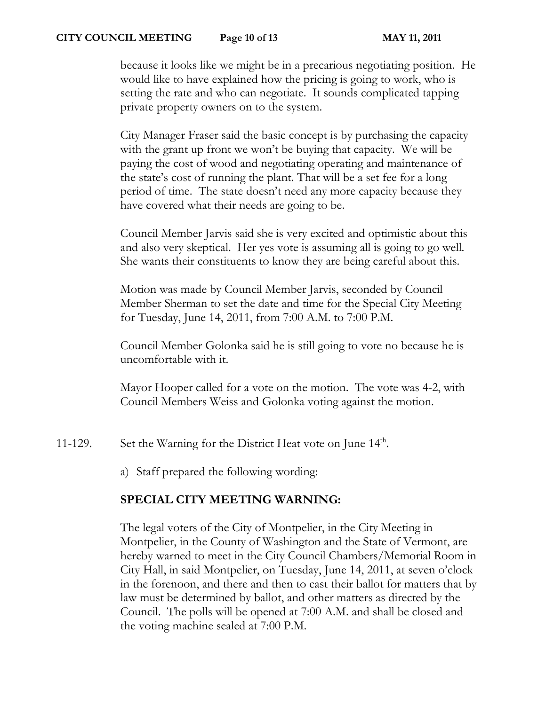### **CITY COUNCIL MEETING Page 10 of 13 MAY 11, 2011**

because it looks like we might be in a precarious negotiating position. He would like to have explained how the pricing is going to work, who is setting the rate and who can negotiate. It sounds complicated tapping private property owners on to the system.

City Manager Fraser said the basic concept is by purchasing the capacity with the grant up front we won't be buying that capacity. We will be paying the cost of wood and negotiating operating and maintenance of the state's cost of running the plant. That will be a set fee for a long period of time. The state doesn't need any more capacity because they have covered what their needs are going to be.

Council Member Jarvis said she is very excited and optimistic about this and also very skeptical. Her yes vote is assuming all is going to go well. She wants their constituents to know they are being careful about this.

Motion was made by Council Member Jarvis, seconded by Council Member Sherman to set the date and time for the Special City Meeting for Tuesday, June 14, 2011, from 7:00 A.M. to 7:00 P.M.

Council Member Golonka said he is still going to vote no because he is uncomfortable with it.

Mayor Hooper called for a vote on the motion. The vote was 4-2, with Council Members Weiss and Golonka voting against the motion.

11-129. Set the Warning for the District Heat vote on June 14<sup>th</sup>.

a) Staff prepared the following wording:

## **SPECIAL CITY MEETING WARNING:**

The legal voters of the City of Montpelier, in the City Meeting in Montpelier, in the County of Washington and the State of Vermont, are hereby warned to meet in the City Council Chambers/Memorial Room in City Hall, in said Montpelier, on Tuesday, June 14, 2011, at seven o'clock in the forenoon, and there and then to cast their ballot for matters that by law must be determined by ballot, and other matters as directed by the Council. The polls will be opened at 7:00 A.M. and shall be closed and the voting machine sealed at 7:00 P.M.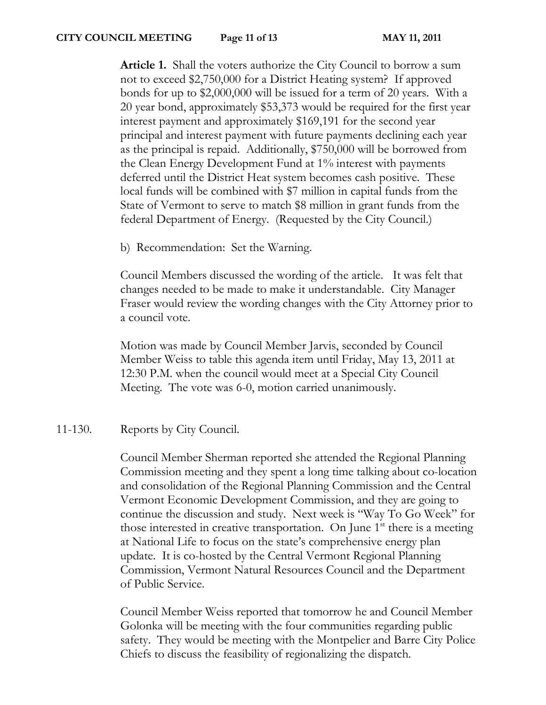**Article 1.** Shall the voters authorize the City Council to borrow a sum not to exceed \$2,750,000 for a District Heating system? If approved bonds for up to \$2,000,000 will be issued for a term of 20 years. With a 20 year bond, approximately \$53,373 would be required for the first year interest payment and approximately \$169,191 for the second year principal and interest payment with future payments declining each year as the principal is repaid. Additionally, \$750,000 will be borrowed from the Clean Energy Development Fund at 1% interest with payments deferred until the District Heat system becomes cash positive. These local funds will be combined with \$7 million in capital funds from the State of Vermont to serve to match \$8 million in grant funds from the federal Department of Energy. (Requested by the City Council.)

b) Recommendation: Set the Warning.

Council Members discussed the wording of the article. It was felt that changes needed to be made to make it understandable. City Manager Fraser would review the wording changes with the City Attorney prior to a council vote.

Motion was made by Council Member Jarvis, seconded by Council Member Weiss to table this agenda item until Friday, May 13, 2011 at 12:30 P.M. when the council would meet at a Special City Council Meeting. The vote was 6-0, motion carried unanimously.

# 11-130. Reports by City Council.

Council Member Sherman reported she attended the Regional Planning Commission meeting and they spent a long time talking about co-location and consolidation of the Regional Planning Commission and the Central Vermont Economic Development Commission, and they are going to continue the discussion and study. Next week is "Way To Go Week" for those interested in creative transportation. On June  $1<sup>st</sup>$  there is a meeting at National Life to focus on the state's comprehensive energy plan update. It is co-hosted by the Central Vermont Regional Planning Commission, Vermont Natural Resources Council and the Department of Public Service.

Council Member Weiss reported that tomorrow he and Council Member Golonka will be meeting with the four communities regarding public safety. They would be meeting with the Montpelier and Barre City Police Chiefs to discuss the feasibility of regionalizing the dispatch.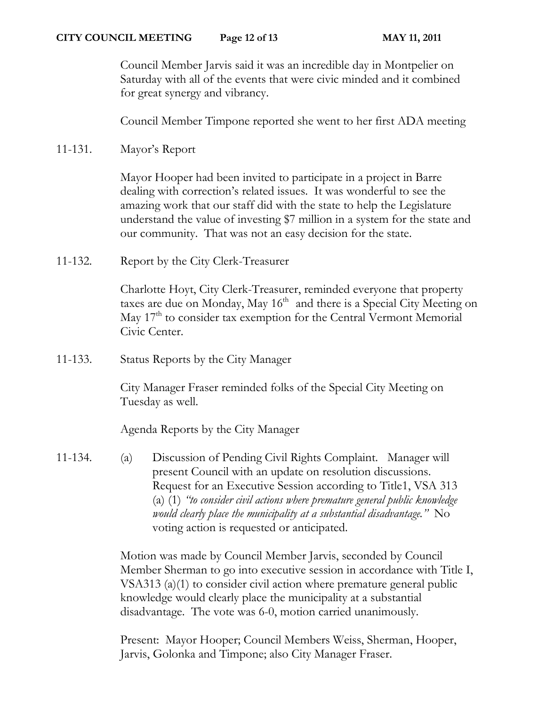Council Member Jarvis said it was an incredible day in Montpelier on Saturday with all of the events that were civic minded and it combined for great synergy and vibrancy.

Council Member Timpone reported she went to her first ADA meeting

11-131. Mayor's Report

Mayor Hooper had been invited to participate in a project in Barre dealing with correction's related issues. It was wonderful to see the amazing work that our staff did with the state to help the Legislature understand the value of investing \$7 million in a system for the state and our community. That was not an easy decision for the state.

11-132. Report by the City Clerk-Treasurer

Charlotte Hoyt, City Clerk-Treasurer, reminded everyone that property taxes are due on Monday, May  $16<sup>th</sup>$  and there is a Special City Meeting on May 17<sup>th</sup> to consider tax exemption for the Central Vermont Memorial Civic Center.

11-133. Status Reports by the City Manager

City Manager Fraser reminded folks of the Special City Meeting on Tuesday as well.

Agenda Reports by the City Manager

11-134. (a) Discussion of Pending Civil Rights Complaint. Manager will present Council with an update on resolution discussions. Request for an Executive Session according to Title1, VSA 313 (a) (1) *"to consider civil actions where premature general public knowledge would clearly place the municipality at a substantial disadvantage."* No voting action is requested or anticipated.

> Motion was made by Council Member Jarvis, seconded by Council Member Sherman to go into executive session in accordance with Title I, VSA313 (a)(1) to consider civil action where premature general public knowledge would clearly place the municipality at a substantial disadvantage. The vote was 6-0, motion carried unanimously.

Present: Mayor Hooper; Council Members Weiss, Sherman, Hooper, Jarvis, Golonka and Timpone; also City Manager Fraser.